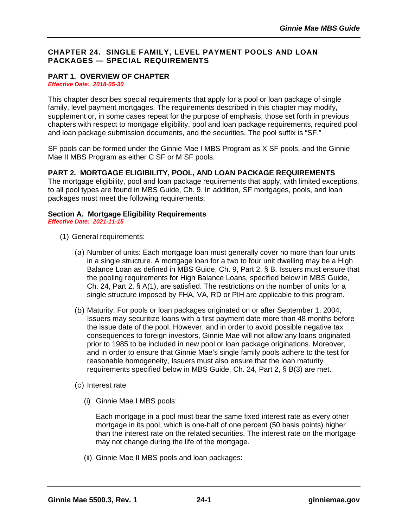## **CHAPTER 24. SINGLE FAMILY, LEVEL PAYMENT POOLS AND LOAN PACKAGES — SPECIAL REQUIREMENTS**

# **PART 1. OVERVIEW OF CHAPTER**

*Effective Date: 2018-05-30*

This chapter describes special requirements that apply for a pool or loan package of single family, level payment mortgages. The requirements described in this chapter may modify, supplement or, in some cases repeat for the purpose of emphasis, those set forth in previous chapters with respect to mortgage eligibility, pool and loan package requirements, required pool and loan package submission documents, and the securities. The pool suffix is "SF."

SF pools can be formed under the Ginnie Mae I MBS Program as X SF pools, and the Ginnie Mae II MBS Program as either C SF or M SF pools.

## **PART 2. MORTGAGE ELIGIBILITY, POOL, AND LOAN PACKAGE REQUIREMENTS**

The mortgage eligibility, pool and loan package requirements that apply, with limited exceptions, to all pool types are found in MBS Guide, Ch. 9. In addition, SF mortgages, pools, and loan packages must meet the following requirements:

### **Section A. Mortgage Eligibility Requirements** *Effective Date: 2021-11-15*

- (1) General requirements:
	- (a) Number of units: Each mortgage loan must generally cover no more than four units in a single structure. A mortgage loan for a two to four unit dwelling may be a High Balance Loan as defined in MBS Guide, Ch. 9, Part 2, § B. Issuers must ensure that the pooling requirements for High Balance Loans, specified below in MBS Guide, Ch. 24, Part 2, § A(1), are satisfied. The restrictions on the number of units for a single structure imposed by FHA, VA, RD or PIH are applicable to this program.
	- (b) Maturity: For pools or loan packages originated on or after September 1, 2004, Issuers may securitize loans with a first payment date more than 48 months before the issue date of the pool. However, and in order to avoid possible negative tax consequences to foreign investors, Ginnie Mae will not allow any loans originated prior to 1985 to be included in new pool or loan package originations. Moreover, and in order to ensure that Ginnie Mae's single family pools adhere to the test for reasonable homogeneity, Issuers must also ensure that the loan maturity requirements specified below in MBS Guide, Ch. 24, Part 2, § B(3) are met.
	- (c) Interest rate
		- (i) Ginnie Mae I MBS pools:

Each mortgage in a pool must bear the same fixed interest rate as every other mortgage in its pool, which is one-half of one percent (50 basis points) higher than the interest rate on the related securities. The interest rate on the mortgage may not change during the life of the mortgage.

(ii) Ginnie Mae II MBS pools and loan packages: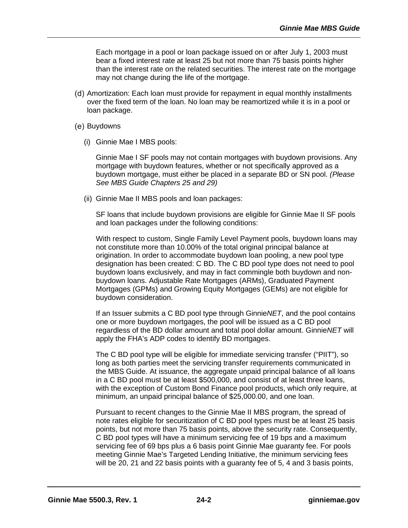Each mortgage in a pool or loan package issued on or after July 1, 2003 must bear a fixed interest rate at least 25 but not more than 75 basis points higher than the interest rate on the related securities. The interest rate on the mortgage may not change during the life of the mortgage.

- (d) Amortization: Each loan must provide for repayment in equal monthly installments over the fixed term of the loan. No loan may be reamortized while it is in a pool or loan package.
- (e) Buydowns
	- (i) Ginnie Mae I MBS pools:

Ginnie Mae I SF pools may not contain mortgages with buydown provisions. Any mortgage with buydown features, whether or not specifically approved as a buydown mortgage, must either be placed in a separate BD or SN pool. *(Please See MBS Guide Chapters 25 and 29)*

(ii) Ginnie Mae II MBS pools and loan packages:

SF loans that include buydown provisions are eligible for Ginnie Mae II SF pools and loan packages under the following conditions:

With respect to custom, Single Family Level Payment pools, buydown loans may not constitute more than 10.00% of the total original principal balance at origination. In order to accommodate buydown loan pooling, a new pool type designation has been created: C BD. The C BD pool type does not need to pool buydown loans exclusively, and may in fact commingle both buydown and nonbuydown loans. Adjustable Rate Mortgages (ARMs), Graduated Payment Mortgages (GPMs) and Growing Equity Mortgages (GEMs) are not eligible for buydown consideration.

If an Issuer submits a C BD pool type through Ginnie*NET*, and the pool contains one or more buydown mortgages, the pool will be issued as a C BD pool regardless of the BD dollar amount and total pool dollar amount. Ginnie*NET* will apply the FHA's ADP codes to identify BD mortgages.

The C BD pool type will be eligible for immediate servicing transfer ("PIIT"), so long as both parties meet the servicing transfer requirements communicated in the MBS Guide. At issuance, the aggregate unpaid principal balance of all loans in a C BD pool must be at least \$500,000, and consist of at least three loans, with the exception of Custom Bond Finance pool products, which only require, at minimum, an unpaid principal balance of \$25,000.00, and one loan.

Pursuant to recent changes to the Ginnie Mae II MBS program, the spread of note rates eligible for securitization of C BD pool types must be at least 25 basis points, but not more than 75 basis points, above the security rate. Consequently, C BD pool types will have a minimum servicing fee of 19 bps and a maximum servicing fee of 69 bps plus a 6 basis point Ginnie Mae guaranty fee. For pools meeting Ginnie Mae's Targeted Lending Initiative, the minimum servicing fees will be 20, 21 and 22 basis points with a guaranty fee of 5, 4 and 3 basis points,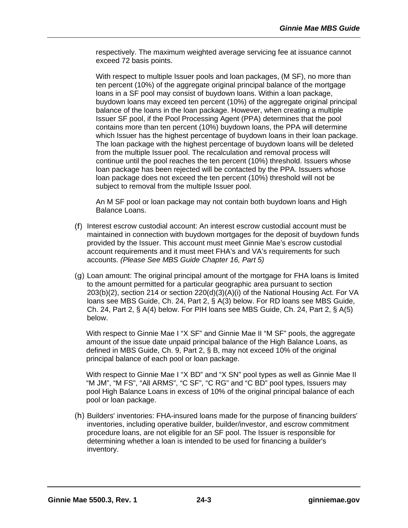respectively. The maximum weighted average servicing fee at issuance cannot exceed 72 basis points.

With respect to multiple Issuer pools and loan packages, (M SF), no more than ten percent (10%) of the aggregate original principal balance of the mortgage loans in a SF pool may consist of buydown loans. Within a loan package, buydown loans may exceed ten percent (10%) of the aggregate original principal balance of the loans in the loan package. However, when creating a multiple Issuer SF pool, if the Pool Processing Agent (PPA) determines that the pool contains more than ten percent (10%) buydown loans, the PPA will determine which Issuer has the highest percentage of buydown loans in their loan package. The loan package with the highest percentage of buydown loans will be deleted from the multiple Issuer pool. The recalculation and removal process will continue until the pool reaches the ten percent (10%) threshold. Issuers whose loan package has been rejected will be contacted by the PPA. Issuers whose loan package does not exceed the ten percent (10%) threshold will not be subject to removal from the multiple Issuer pool.

An M SF pool or loan package may not contain both buydown loans and High Balance Loans.

- Interest escrow custodial account: An interest escrow custodial account must be maintained in connection with buydown mortgages for the deposit of buydown funds provided by the Issuer. This account must meet Ginnie Mae's escrow custodial account requirements and it must meet FHA's and VA's requirements for such accounts. *(Please See MBS Guide Chapter 16, Part 5)*
- Loan amount: The original principal amount of the mortgage for FHA loans is limited to the amount permitted for a particular geographic area pursuant to section 203(b)(2), section 214 or section 220(d)(3)(A)(i) of the National Housing Act. For VA loans see MBS Guide, Ch. 24, Part 2, § A(3) below. For RD loans see MBS Guide, Ch. 24, Part 2, § A(4) below. For PIH loans see MBS Guide, Ch. 24, Part 2, § A(5) below.

With respect to Ginnie Mae I "X SF" and Ginnie Mae II "M SF" pools, the aggregate amount of the issue date unpaid principal balance of the High Balance Loans, as defined in MBS Guide, Ch. 9, Part 2, § B, may not exceed 10% of the original principal balance of each pool or loan package.

With respect to Ginnie Mae I "X BD" and "X SN" pool types as well as Ginnie Mae II "M JM", "M FS", "All ARMS", "C SF", "C RG" and "C BD" pool types, Issuers may pool High Balance Loans in excess of 10% of the original principal balance of each pool or loan package.

(h) Builders' inventories: FHA-insured loans made for the purpose of financing builders' inventories, including operative builder, builder/investor, and escrow commitment procedure loans, are not eligible for an SF pool. The Issuer is responsible for determining whether a loan is intended to be used for financing a builder's inventory.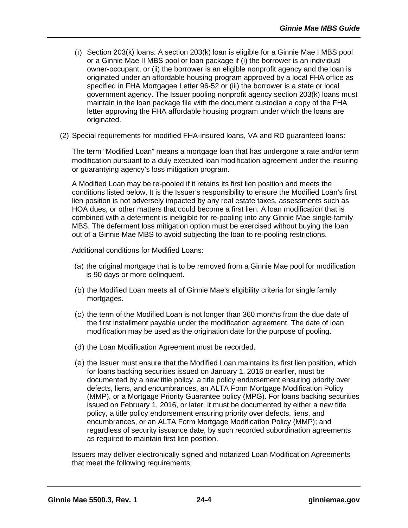- $(i)$  Section 203 $(k)$  loans: A section 203 $(k)$  loan is eligible for a Ginnie Mae I MBS pool or a Ginnie Mae II MBS pool or loan package if (i) the borrower is an individual owner-occupant, or (ii) the borrower is an eligible nonprofit agency and the loan is originated under an affordable housing program approved by a local FHA office as specified in FHA Mortgagee Letter 96-52 or (iii) the borrower is a state or local government agency. The Issuer pooling nonprofit agency section 203(k) loans must maintain in the loan package file with the document custodian a copy of the FHA letter approving the FHA affordable housing program under which the loans are originated.
- (2) Special requirements for modified FHA-insured loans, VA and RD guaranteed loans:

The term "Modified Loan" means a mortgage loan that has undergone a rate and/or term modification pursuant to a duly executed loan modification agreement under the insuring or guarantying agency's loss mitigation program.

A Modified Loan may be re-pooled if it retains its first lien position and meets the conditions listed below. It is the Issuer's responsibility to ensure the Modified Loan's first lien position is not adversely impacted by any real estate taxes, assessments such as HOA dues, or other matters that could become a first lien. A loan modification that is combined with a deferment is ineligible for re-pooling into any Ginnie Mae single-family MBS. The deferment loss mitigation option must be exercised without buying the loan out of a Ginnie Mae MBS to avoid subjecting the loan to re-pooling restrictions.

Additional conditions for Modified Loans:

- $(a)$  the original mortgage that is to be removed from a Ginnie Mae pool for modification is 90 days or more delinquent.
- (b) the Modified Loan meets all of Ginnie Mae's eligibility criteria for single family mortgages.
- $(c)$  the term of the Modified Loan is not longer than 360 months from the due date of the first installment payable under the modification agreement. The date of loan modification may be used as the origination date for the purpose of pooling.
- (d) the Loan Modification Agreement must be recorded.
- (e) the Issuer must ensure that the Modified Loan maintains its first lien position, which for loans backing securities issued on January 1, 2016 or earlier, must be documented by a new title policy, a title policy endorsement ensuring priority over defects, liens, and encumbrances, an ALTA Form Mortgage Modification Policy (MMP), or a Mortgage Priority Guarantee policy (MPG). For loans backing securities issued on February 1, 2016, or later, it must be documented by either a new title policy, a title policy endorsement ensuring priority over defects, liens, and encumbrances, or an ALTA Form Mortgage Modification Policy (MMP); and regardless of security issuance date, by such recorded subordination agreements as required to maintain first lien position.

Issuers may deliver electronically signed and notarized Loan Modification Agreements that meet the following requirements: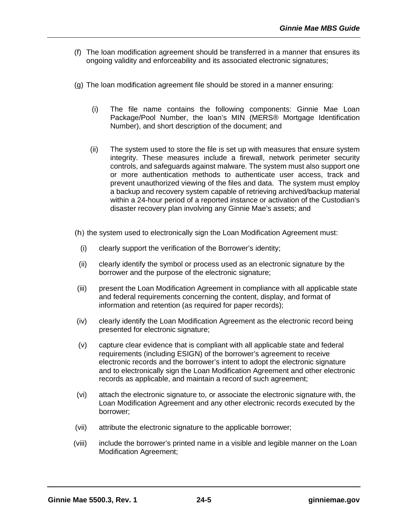- (f) The loan modification agreement should be transferred in a manner that ensures its ongoing validity and enforceability and its associated electronic signatures;
- (g) The loan modification agreement file should be stored in a manner ensuring:
	- (i) The file name contains the following components: Ginnie Mae Loan Package/Pool Number, the loan's MIN (MERS® Mortgage Identification Number), and short description of the document; and
	- (ii) The system used to store the file is set up with measures that ensure system integrity. These measures include a firewall, network perimeter security controls, and safeguards against malware. The system must also support one or more authentication methods to authenticate user access, track and prevent unauthorized viewing of the files and data. The system must employ a backup and recovery system capable of retrieving archived/backup material within a 24-hour period of a reported instance or activation of the Custodian's disaster recovery plan involving any Ginnie Mae's assets; and
- (h) the system used to electronically sign the Loan Modification Agreement must:
	- (i) clearly support the verification of the Borrower's identity;
- (ii) clearly identify the symbol or process used as an electronic signature by the borrower and the purpose of the electronic signature;
- (iii) present the Loan Modification Agreement in compliance with all applicable state and federal requirements concerning the content, display, and format of information and retention (as required for paper records);
- (iv) clearly identify the Loan Modification Agreement as the electronic record being presented for electronic signature;
- (v) capture clear evidence that is compliant with all applicable state and federal requirements (including ESIGN) of the borrower's agreement to receive electronic records and the borrower's intent to adopt the electronic signature and to electronically sign the Loan Modification Agreement and other electronic records as applicable, and maintain a record of such agreement;
- (vi) attach the electronic signature to, or associate the electronic signature with, the Loan Modification Agreement and any other electronic records executed by the borrower;
- (vii) attribute the electronic signature to the applicable borrower;
- (viii) include the borrower's printed name in a visible and legible manner on the Loan Modification Agreement;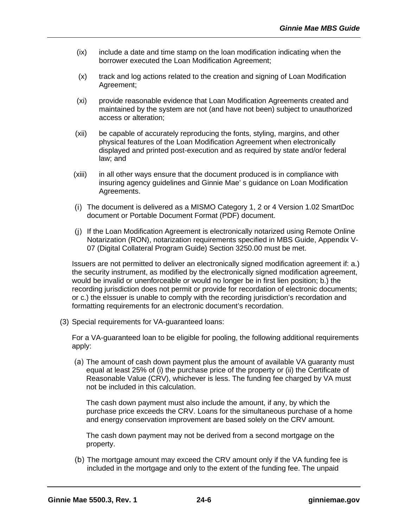- (ix) include a date and time stamp on the loan modification indicating when the borrower executed the Loan Modification Agreement;
- (x) track and log actions related to the creation and signing of Loan Modification Agreement;
- (xi) provide reasonable evidence that Loan Modification Agreements created and maintained by the system are not (and have not been) subject to unauthorized access or alteration;
- (xii) be capable of accurately reproducing the fonts, styling, margins, and other physical features of the Loan Modification Agreement when electronically displayed and printed post-execution and as required by state and/or federal law; and
- (xiii) in all other ways ensure that the document produced is in compliance with insuring agency guidelines and Ginnie Mae' s guidance on Loan Modification Agreements.
- The document is delivered as a MISMO Category 1, 2 or 4 Version 1.02 SmartDoc document or Portable Document Format (PDF) document.
- (i) If the Loan Modification Agreement is electronically notarized using Remote Online Notarization (RON), notarization requirements specified in MBS Guide, Appendix V-07 (Digital Collateral Program Guide) Section 3250.00 must be met.

Issuers are not permitted to deliver an electronically signed modification agreement if: a.) the security instrument, as modified by the electronically signed modification agreement, would be invalid or unenforceable or would no longer be in first lien position; b.) the recording jurisdiction does not permit or provide for recordation of electronic documents; or c.) the eIssuer is unable to comply with the recording jurisdiction's recordation and formatting requirements for an electronic document's recordation.

(3) Special requirements for VA-guaranteed loans:

For a VA-guaranteed loan to be eligible for pooling, the following additional requirements apply:

(a) The amount of cash down payment plus the amount of available VA guaranty must equal at least 25% of (i) the purchase price of the property or (ii) the Certificate of Reasonable Value (CRV), whichever is less. The funding fee charged by VA must not be included in this calculation.

The cash down payment must also include the amount, if any, by which the purchase price exceeds the CRV. Loans for the simultaneous purchase of a home and energy conservation improvement are based solely on the CRV amount.

The cash down payment may not be derived from a second mortgage on the property.

(b) The mortgage amount may exceed the CRV amount only if the VA funding fee is included in the mortgage and only to the extent of the funding fee. The unpaid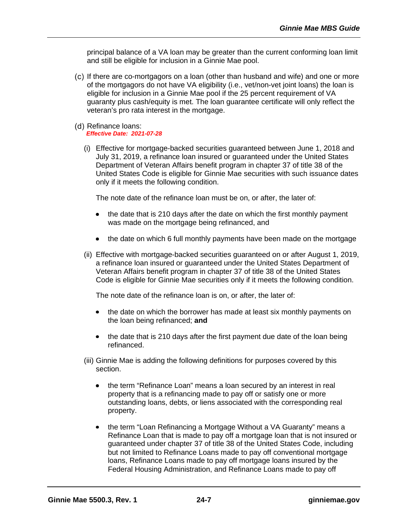principal balance of a VA loan may be greater than the current conforming loan limit and still be eligible for inclusion in a Ginnie Mae pool.

- (c) If there are co-mortgagors on a loan (other than husband and wife) and one or more of the mortgagors do not have VA eligibility (i.e., vet/non-vet joint loans) the loan is eligible for inclusion in a Ginnie Mae pool if the 25 percent requirement of VA guaranty plus cash/equity is met. The loan guarantee certificate will only reflect the veteran's pro rata interest in the mortgage.
- (d) Refinance loans: *Effective Date: 2021-07-28*
	- (i) Effective for mortgage-backed securities guaranteed between June 1, 2018 and July 31, 2019, a refinance loan insured or guaranteed under the United States Department of Veteran Affairs benefit program in chapter 37 of title 38 of the United States Code is eligible for Ginnie Mae securities with such issuance dates only if it meets the following condition.

The note date of the refinance loan must be on, or after, the later of:

- the date that is 210 days after the date on which the first monthly payment was made on the mortgage being refinanced, and
- the date on which 6 full monthly payments have been made on the mortgage
- (ii) Effective with mortgage-backed securities guaranteed on or after August 1, 2019, a refinance loan insured or guaranteed under the United States Department of Veteran Affairs benefit program in chapter 37 of title 38 of the United States Code is eligible for Ginnie Mae securities only if it meets the following condition.

The note date of the refinance loan is on, or after, the later of:

- the date on which the borrower has made at least six monthly payments on the loan being refinanced; **and**
- the date that is 210 days after the first payment due date of the loan being refinanced.
- (iii) Ginnie Mae is adding the following definitions for purposes covered by this section.
	- the term "Refinance Loan" means a loan secured by an interest in real property that is a refinancing made to pay off or satisfy one or more outstanding loans, debts, or liens associated with the corresponding real property.
	- the term "Loan Refinancing a Mortgage Without a VA Guaranty" means a Refinance Loan that is made to pay off a mortgage loan that is not insured or guaranteed under chapter 37 of title 38 of the United States Code, including but not limited to Refinance Loans made to pay off conventional mortgage loans, Refinance Loans made to pay off mortgage loans insured by the Federal Housing Administration, and Refinance Loans made to pay off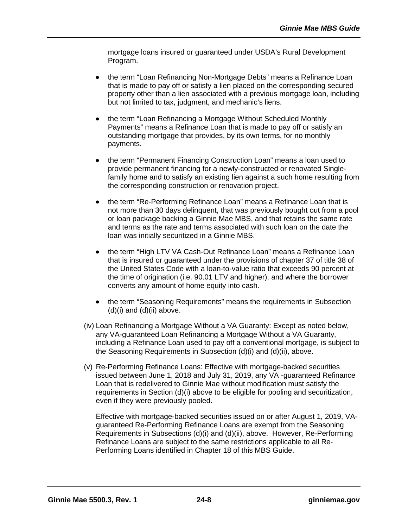mortgage loans insured or guaranteed under USDA's Rural Development Program.

- the term "Loan Refinancing Non-Mortgage Debts" means a Refinance Loan that is made to pay off or satisfy a lien placed on the corresponding secured property other than a lien associated with a previous mortgage loan, including but not limited to tax, judgment, and mechanic's liens.
- the term "Loan Refinancing a Mortgage Without Scheduled Monthly Payments" means a Refinance Loan that is made to pay off or satisfy an outstanding mortgage that provides, by its own terms, for no monthly payments.
- the term "Permanent Financing Construction Loan" means a loan used to provide permanent financing for a newly-constructed or renovated Singlefamily home and to satisfy an existing lien against a such home resulting from the corresponding construction or renovation project.
- the term "Re-Performing Refinance Loan" means a Refinance Loan that is not more than 30 days delinquent, that was previously bought out from a pool or loan package backing a Ginnie Mae MBS, and that retains the same rate and terms as the rate and terms associated with such loan on the date the loan was initially securitized in a Ginnie MBS.
- the term "High LTV VA Cash-Out Refinance Loan" means a Refinance Loan that is insured or guaranteed under the provisions of chapter 37 of title 38 of the United States Code with a loan-to-value ratio that exceeds 90 percent at the time of origination (i.e. 90.01 LTV and higher), and where the borrower converts any amount of home equity into cash.
- the term "Seasoning Requirements" means the requirements in Subsection  $(d)(i)$  and  $(d)(ii)$  above.
- (iv) Loan Refinancing a Mortgage Without a VA Guaranty: Except as noted below, any VA-guaranteed Loan Refinancing a Mortgage Without a VA Guaranty, including a Refinance Loan used to pay off a conventional mortgage, is subject to the Seasoning Requirements in Subsection (d)(i) and (d)(ii), above.
- (v) Re-Performing Refinance Loans: Effective with mortgage-backed securities issued between June 1, 2018 and July 31, 2019, any VA -guaranteed Refinance Loan that is redelivered to Ginnie Mae without modification must satisfy the requirements in Section (d)(i) above to be eligible for pooling and securitization, even if they were previously pooled.

Effective with mortgage-backed securities issued on or after August 1, 2019, VAguaranteed Re-Performing Refinance Loans are exempt from the Seasoning Requirements in Subsections (d)(i) and (d)(ii), above. However, Re-Performing Refinance Loans are subject to the same restrictions applicable to all Re-Performing Loans identified in Chapter 18 of this MBS Guide.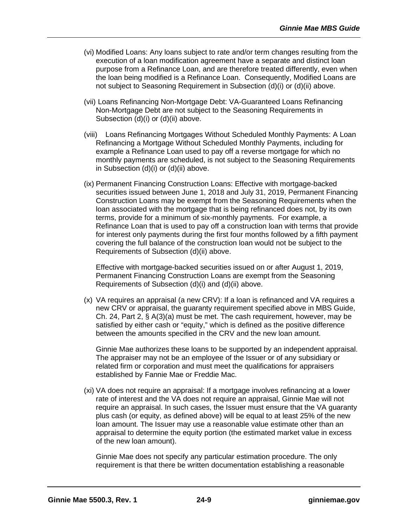- (vi) Modified Loans: Any loans subject to rate and/or term changes resulting from the execution of a loan modification agreement have a separate and distinct loan purpose from a Refinance Loan, and are therefore treated differently, even when the loan being modified is a Refinance Loan. Consequently, Modified Loans are not subject to Seasoning Requirement in Subsection (d)(i) or (d)(ii) above.
- (vii) Loans Refinancing Non-Mortgage Debt: VA-Guaranteed Loans Refinancing Non-Mortgage Debt are not subject to the Seasoning Requirements in Subsection (d)(i) or (d)(ii) above.
- (viii) Loans Refinancing Mortgages Without Scheduled Monthly Payments: A Loan Refinancing a Mortgage Without Scheduled Monthly Payments, including for example a Refinance Loan used to pay off a reverse mortgage for which no monthly payments are scheduled, is not subject to the Seasoning Requirements in Subsection (d)(i) or (d)(ii) above.
- (ix) Permanent Financing Construction Loans: Effective with mortgage-backed securities issued between June 1, 2018 and July 31, 2019, Permanent Financing Construction Loans may be exempt from the Seasoning Requirements when the loan associated with the mortgage that is being refinanced does not, by its own terms, provide for a minimum of six-monthly payments. For example, a Refinance Loan that is used to pay off a construction loan with terms that provide for interest only payments during the first four months followed by a fifth payment covering the full balance of the construction loan would not be subject to the Requirements of Subsection (d)(ii) above.

Effective with mortgage-backed securities issued on or after August 1, 2019, Permanent Financing Construction Loans are exempt from the Seasoning Requirements of Subsection (d)(i) and (d)(ii) above.

(x) VA requires an appraisal (a new CRV): If a loan is refinanced and VA requires a new CRV or appraisal, the guaranty requirement specified above in MBS Guide, Ch. 24, Part 2, § A(3)(a) must be met. The cash requirement, however, may be satisfied by either cash or "equity," which is defined as the positive difference between the amounts specified in the CRV and the new loan amount.

Ginnie Mae authorizes these loans to be supported by an independent appraisal. The appraiser may not be an employee of the Issuer or of any subsidiary or related firm or corporation and must meet the qualifications for appraisers established by Fannie Mae or Freddie Mac.

(xi) VA does not require an appraisal: If a mortgage involves refinancing at a lower rate of interest and the VA does not require an appraisal, Ginnie Mae will not require an appraisal. In such cases, the Issuer must ensure that the VA guaranty plus cash (or equity, as defined above) will be equal to at least 25% of the new loan amount. The Issuer may use a reasonable value estimate other than an appraisal to determine the equity portion (the estimated market value in excess of the new loan amount).

Ginnie Mae does not specify any particular estimation procedure. The only requirement is that there be written documentation establishing a reasonable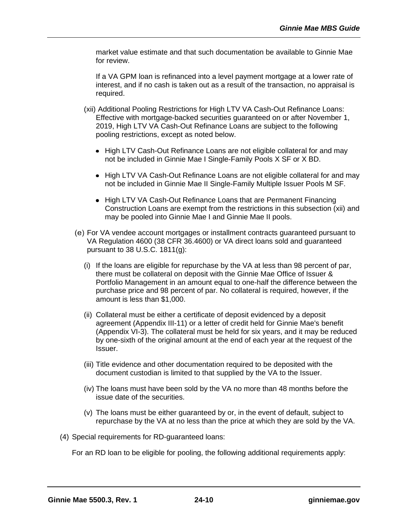market value estimate and that such documentation be available to Ginnie Mae for review.

If a VA GPM loan is refinanced into a level payment mortgage at a lower rate of interest, and if no cash is taken out as a result of the transaction, no appraisal is required.

- (xii) Additional Pooling Restrictions for High LTV VA Cash-Out Refinance Loans: Effective with mortgage-backed securities guaranteed on or after November 1, 2019, High LTV VA Cash-Out Refinance Loans are subject to the following pooling restrictions, except as noted below.
	- High LTV Cash-Out Refinance Loans are not eligible collateral for and may not be included in Ginnie Mae I Single-Family Pools X SF or X BD.
	- High LTV VA Cash-Out Refinance Loans are not eligible collateral for and may not be included in Ginnie Mae II Single-Family Multiple Issuer Pools M SF.
	- High LTV VA Cash-Out Refinance Loans that are Permanent Financing Construction Loans are exempt from the restrictions in this subsection (xii) and may be pooled into Ginnie Mae I and Ginnie Mae II pools.
- For VA vendee account mortgages or installment contracts guaranteed pursuant to VA Regulation 4600 (38 CFR 36.4600) or VA direct loans sold and guaranteed pursuant to 38 U.S.C. 1811(g):
	- (i) If the loans are eligible for repurchase by the VA at less than 98 percent of par, there must be collateral on deposit with the Ginnie Mae Office of Issuer & Portfolio Management in an amount equal to one-half the difference between the purchase price and 98 percent of par. No collateral is required, however, if the amount is less than \$1,000.
	- (ii) Collateral must be either a certificate of deposit evidenced by a deposit agreement (Appendix III-11) or a letter of credit held for Ginnie Mae's benefit (Appendix VI-3). The collateral must be held for six years, and it may be reduced by one-sixth of the original amount at the end of each year at the request of the Issuer.
	- (iii) Title evidence and other documentation required to be deposited with the document custodian is limited to that supplied by the VA to the Issuer.
	- (iv) The loans must have been sold by the VA no more than 48 months before the issue date of the securities.
	- (v) The loans must be either guaranteed by or, in the event of default, subject to repurchase by the VA at no less than the price at which they are sold by the VA.
- (4) Special requirements for RD-guaranteed loans:

For an RD loan to be eligible for pooling, the following additional requirements apply: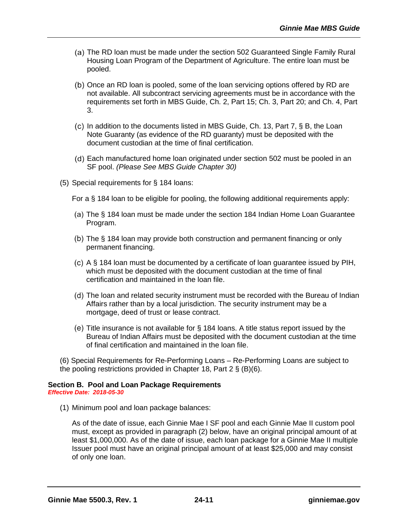- (a) The RD loan must be made under the section 502 Guaranteed Single Family Rural Housing Loan Program of the Department of Agriculture. The entire loan must be pooled.
- (b) Once an RD loan is pooled, some of the loan servicing options offered by RD are not available. All subcontract servicing agreements must be in accordance with the requirements set forth in MBS Guide, Ch. 2, Part 15; Ch. 3, Part 20; and Ch. 4, Part 3.
- $I(c)$  In addition to the documents listed in MBS Guide, Ch. 13, Part 7, § B, the Loan Note Guaranty (as evidence of the RD guaranty) must be deposited with the document custodian at the time of final certification.
- Each manufactured home loan originated under section 502 must be pooled in an SF pool. *(Please See MBS Guide Chapter 30)*
- (5) Special requirements for § 184 loans:
	- For a § 184 loan to be eligible for pooling, the following additional requirements apply:
	- The § 184 loan must be made under the section 184 Indian Home Loan Guarantee Program.
	- (b) The § 184 loan may provide both construction and permanent financing or only permanent financing.
	- A § 184 loan must be documented by a certificate of loan guarantee issued by PIH, which must be deposited with the document custodian at the time of final certification and maintained in the loan file.
	- (d) The loan and related security instrument must be recorded with the Bureau of Indian Affairs rather than by a local jurisdiction. The security instrument may be a mortgage, deed of trust or lease contract.
	- (e) Title insurance is not available for  $\S$  184 loans. A title status report issued by the Bureau of Indian Affairs must be deposited with the document custodian at the time of final certification and maintained in the loan file.

(6) Special Requirements for Re-Performing Loans – Re-Performing Loans are subject to the pooling restrictions provided in Chapter 18, Part 2 § (B)(6).

#### **Section B. Pool and Loan Package Requirements** *Effective Date: 2018-05-30*

(1) Minimum pool and loan package balances:

As of the date of issue, each Ginnie Mae I SF pool and each Ginnie Mae II custom pool must, except as provided in paragraph (2) below, have an original principal amount of at least \$1,000,000. As of the date of issue, each loan package for a Ginnie Mae II multiple Issuer pool must have an original principal amount of at least \$25,000 and may consist of only one loan.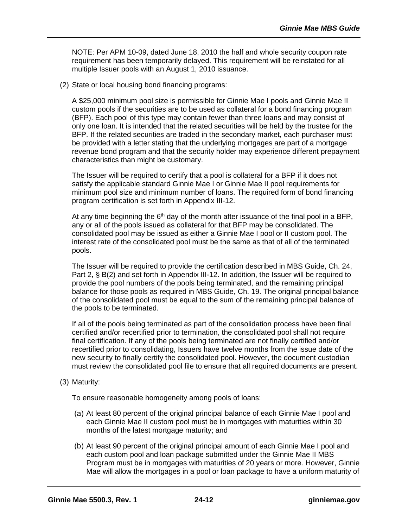NOTE: Per APM 10-09, dated June 18, 2010 the half and whole security coupon rate requirement has been temporarily delayed. This requirement will be reinstated for all multiple Issuer pools with an August 1, 2010 issuance.

(2) State or local housing bond financing programs:

A \$25,000 minimum pool size is permissible for Ginnie Mae I pools and Ginnie Mae II custom pools if the securities are to be used as collateral for a bond financing program (BFP). Each pool of this type may contain fewer than three loans and may consist of only one loan. It is intended that the related securities will be held by the trustee for the BFP. If the related securities are traded in the secondary market, each purchaser must be provided with a letter stating that the underlying mortgages are part of a mortgage revenue bond program and that the security holder may experience different prepayment characteristics than might be customary.

The Issuer will be required to certify that a pool is collateral for a BFP if it does not satisfy the applicable standard Ginnie Mae I or Ginnie Mae II pool requirements for minimum pool size and minimum number of loans. The required form of bond financing program certification is set forth in Appendix III-12.

At any time beginning the  $6<sup>th</sup>$  day of the month after issuance of the final pool in a BFP, any or all of the pools issued as collateral for that BFP may be consolidated. The consolidated pool may be issued as either a Ginnie Mae I pool or II custom pool. The interest rate of the consolidated pool must be the same as that of all of the terminated pools.

The Issuer will be required to provide the certification described in MBS Guide, Ch. 24, Part 2, § B(2) and set forth in Appendix III-12. In addition, the Issuer will be required to provide the pool numbers of the pools being terminated, and the remaining principal balance for those pools as required in MBS Guide, Ch. 19. The original principal balance of the consolidated pool must be equal to the sum of the remaining principal balance of the pools to be terminated.

If all of the pools being terminated as part of the consolidation process have been final certified and/or recertified prior to termination, the consolidated pool shall not require final certification. If any of the pools being terminated are not finally certified and/or recertified prior to consolidating, Issuers have twelve months from the issue date of the new security to finally certify the consolidated pool. However, the document custodian must review the consolidated pool file to ensure that all required documents are present.

(3) Maturity:

To ensure reasonable homogeneity among pools of loans:

- (a) At least 80 percent of the original principal balance of each Ginnie Mae I pool and each Ginnie Mae II custom pool must be in mortgages with maturities within 30 months of the latest mortgage maturity; and
- (b) At least 90 percent of the original principal amount of each Ginnie Mae I pool and each custom pool and loan package submitted under the Ginnie Mae II MBS Program must be in mortgages with maturities of 20 years or more. However, Ginnie Mae will allow the mortgages in a pool or loan package to have a uniform maturity of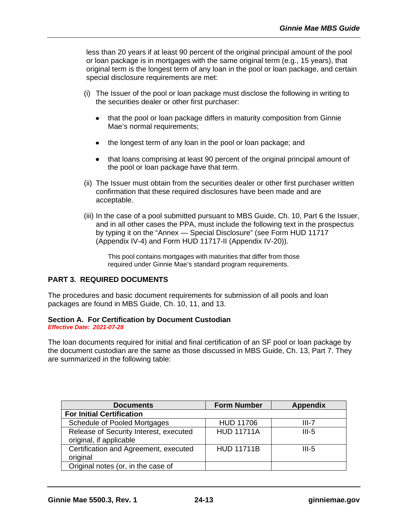less than 20 years if at least 90 percent of the original principal amount of the pool or loan package is in mortgages with the same original term (e.g., 15 years), that original term is the longest term of any loan in the pool or loan package, and certain special disclosure requirements are met:

- (i) The Issuer of the pool or loan package must disclose the following in writing to the securities dealer or other first purchaser:
	- that the pool or loan package differs in maturity composition from Ginnie  $\bullet$ Mae's normal requirements:
	- $\bullet$ the longest term of any loan in the pool or loan package; and
	- that loans comprising at least 90 percent of the original principal amount of  $\bullet$ the pool or loan package have that term.
- (ii) The Issuer must obtain from the securities dealer or other first purchaser written confirmation that these required disclosures have been made and are acceptable.
- (iii) In the case of a pool submitted pursuant to MBS Guide, Ch. 10, Part 6 the Issuer, and in all other cases the PPA, must include the following text in the prospectus by typing it on the "Annex — Special Disclosure" (see Form HUD 11717 (Appendix IV-4) and Form HUD 11717-II (Appendix IV-20)).

This pool contains mortgages with maturities that differ from those required under Ginnie Mae's standard program requirements.

## **PART 3. REQUIRED DOCUMENTS**

The procedures and basic document requirements for submission of all pools and loan packages are found in MBS Guide, Ch. 10, 11, and 13.

## **Section A. For Certification by Document Custodian**

*Effective Date: 2021-07-28*

The loan documents required for initial and final certification of an SF pool or loan package by the document custodian are the same as those discussed in MBS Guide, Ch. 13, Part 7. They are summarized in the following table:

| <b>Documents</b>                                                  | <b>Form Number</b> | <b>Appendix</b> |
|-------------------------------------------------------------------|--------------------|-----------------|
| <b>For Initial Certification</b>                                  |                    |                 |
| Schedule of Pooled Mortgages                                      | <b>HUD 11706</b>   | III-7           |
| Release of Security Interest, executed<br>original, if applicable | <b>HUD 11711A</b>  | $III-5$         |
| Certification and Agreement, executed<br>original                 | <b>HUD 11711B</b>  | $III-5$         |
| Original notes (or, in the case of                                |                    |                 |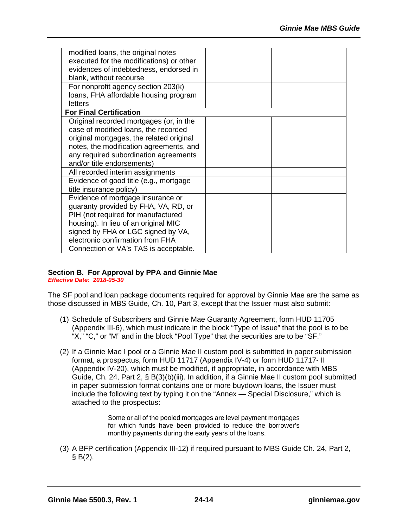| modified loans, the original notes       |  |
|------------------------------------------|--|
| executed for the modifications) or other |  |
| evidences of indebtedness, endorsed in   |  |
| blank, without recourse                  |  |
| For nonprofit agency section 203(k)      |  |
| loans, FHA affordable housing program    |  |
| letters                                  |  |
| <b>For Final Certification</b>           |  |
| Original recorded mortgages (or, in the  |  |
| case of modified loans, the recorded     |  |
| original mortgages, the related original |  |
| notes, the modification agreements, and  |  |
| any required subordination agreements    |  |
| and/or title endorsements)               |  |
| All recorded interim assignments         |  |
| Evidence of good title (e.g., mortgage   |  |
| title insurance policy)                  |  |
| Evidence of mortgage insurance or        |  |
| guaranty provided by FHA, VA, RD, or     |  |
| PIH (not required for manufactured       |  |
| housing). In lieu of an original MIC     |  |
| signed by FHA or LGC signed by VA,       |  |
| electronic confirmation from FHA         |  |
| Connection or VA's TAS is acceptable.    |  |

## **Section B. For Approval by PPA and Ginnie Mae**

*Effective Date: 2018-05-30*

The SF pool and loan package documents required for approval by Ginnie Mae are the same as those discussed in MBS Guide, Ch. 10, Part 3, except that the Issuer must also submit:

- (1) Schedule of Subscribers and Ginnie Mae Guaranty Agreement, form HUD 11705 (Appendix III-6), which must indicate in the block "Type of Issue" that the pool is to be "X," "C," or "M" and in the block "Pool Type" that the securities are to be "SF."
- (2) If a Ginnie Mae I pool or a Ginnie Mae II custom pool is submitted in paper submission format, a prospectus, form HUD 11717 (Appendix IV-4) or form HUD 11717- II (Appendix IV-20), which must be modified, if appropriate, in accordance with MBS Guide, Ch. 24, Part 2, § B(3)(b)(iii). In addition, if a Ginnie Mae II custom pool submitted in paper submission format contains one or more buydown loans, the Issuer must include the following text by typing it on the "Annex — Special Disclosure," which is attached to the prospectus:

Some or all of the pooled mortgages are level payment mortgages for which funds have been provided to reduce the borrower's monthly payments during the early years of the loans.

(3) A BFP certification (Appendix III-12) if required pursuant to MBS Guide Ch. 24, Part 2,  $§ B(2).$